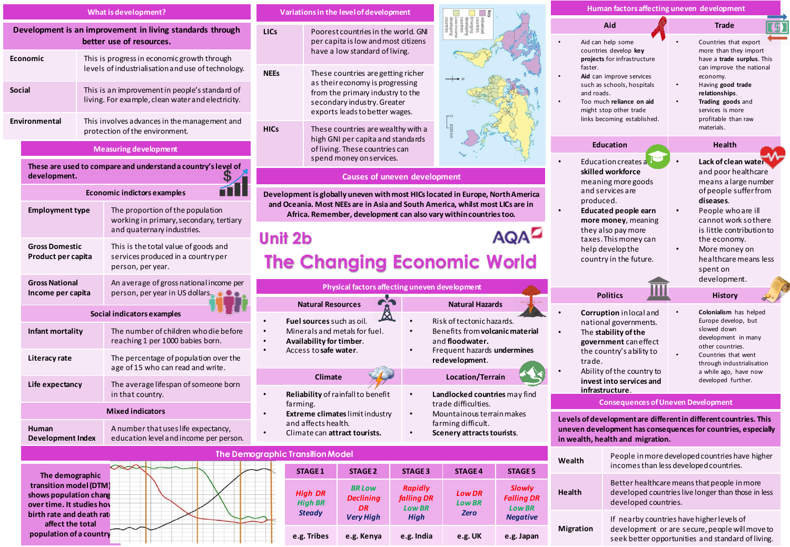|                                                                                       |                                                                                                                          |  | What is development?                                                                                         | Variations in the level of development                                                                                                             |                                                                                                                                                                            |                                                                                                                                                          |                                  |                                                                                                                                                            |                                                                     | Human factors affecting uneven development                                                                                                                                                          |                                                                                                        |                                                                                                                                                    |  |
|---------------------------------------------------------------------------------------|--------------------------------------------------------------------------------------------------------------------------|--|--------------------------------------------------------------------------------------------------------------|----------------------------------------------------------------------------------------------------------------------------------------------------|----------------------------------------------------------------------------------------------------------------------------------------------------------------------------|----------------------------------------------------------------------------------------------------------------------------------------------------------|----------------------------------|------------------------------------------------------------------------------------------------------------------------------------------------------------|---------------------------------------------------------------------|-----------------------------------------------------------------------------------------------------------------------------------------------------------------------------------------------------|--------------------------------------------------------------------------------------------------------|----------------------------------------------------------------------------------------------------------------------------------------------------|--|
| Development is an improvement in living standards through<br>better use of resources. |                                                                                                                          |  |                                                                                                              | LIC <sub>s</sub>                                                                                                                                   | Poorest countries in the world. GNI<br>per capita is low and most citizens<br>have a low standard of living.                                                               |                                                                                                                                                          |                                  |                                                                                                                                                            |                                                                     |                                                                                                                                                                                                     | Aid<br>Aid can help some<br>countries develop key                                                      | <b>Trade</b><br>Countries that export<br>more than they import                                                                                     |  |
| Economic                                                                              |                                                                                                                          |  | This is progress in economic growth through<br>levels of industrialisation and use of technology.            | <b>NEEs</b>                                                                                                                                        | These countries are getting richer<br>as their economy is progressing<br>from the primary industry to the<br>secondary industry. Greater<br>exports leads to better wages. |                                                                                                                                                          |                                  |                                                                                                                                                            |                                                                     | projects for infrastructure<br>faster.<br>Aid can improve services<br>such as schools, hospitals<br>and roads.<br>Too much reliance on aid<br>might stop other trade<br>links becoming established. |                                                                                                        | have a trade surplus. This<br>can improve the national<br>economy.<br>Having good trade<br>relationships.<br>Trading goods and<br>services is more |  |
| Social                                                                                |                                                                                                                          |  | This is an improvement in people's standard of<br>living. For example, clean water and electricity.          |                                                                                                                                                    |                                                                                                                                                                            |                                                                                                                                                          |                                  |                                                                                                                                                            |                                                                     |                                                                                                                                                                                                     |                                                                                                        |                                                                                                                                                    |  |
| Environmental                                                                         |                                                                                                                          |  | This involves advances in the management and<br>protection of the environment.                               | <b>HICs</b>                                                                                                                                        | These countries are wealthy with a<br>high GNI per capita and standards                                                                                                    |                                                                                                                                                          |                                  |                                                                                                                                                            |                                                                     |                                                                                                                                                                                                     | profitable than raw<br>materials.                                                                      |                                                                                                                                                    |  |
|                                                                                       | <b>Measuring development</b>                                                                                             |  |                                                                                                              | of living. These countries can                                                                                                                     |                                                                                                                                                                            |                                                                                                                                                          |                                  |                                                                                                                                                            |                                                                     | <b>Education</b>                                                                                                                                                                                    | <b>Health</b>                                                                                          |                                                                                                                                                    |  |
|                                                                                       | These are used to compare and understand a country's level of<br>35<br>development.                                      |  |                                                                                                              | spend money on services.<br><b>Causes of uneven development</b>                                                                                    |                                                                                                                                                                            |                                                                                                                                                          |                                  |                                                                                                                                                            |                                                                     |                                                                                                                                                                                                     | Education creates a<br>skilled workforce                                                               | Lack of clean water<br>and poor healthcare                                                                                                         |  |
|                                                                                       | <b>Economic indictors examples</b>                                                                                       |  |                                                                                                              | Development is globally uneven with most HICs located in Europe, North America                                                                     |                                                                                                                                                                            |                                                                                                                                                          |                                  |                                                                                                                                                            | meaning more goods<br>and services are<br>produced.                 | means a large number<br>of people suffer from<br>diseases.                                                                                                                                          |                                                                                                        |                                                                                                                                                    |  |
|                                                                                       | <b>Employment type</b>                                                                                                   |  | The proportion of the population<br>working in primary, secondary, tertiary<br>and quaternary industries.    | and Oceania. Most NEEs are in Asia and South America, whilst most LICs are in<br>Africa. Remember, development can also vary within countries too. |                                                                                                                                                                            |                                                                                                                                                          |                                  |                                                                                                                                                            |                                                                     |                                                                                                                                                                                                     | Educated people earn<br>more money, meaning<br>they also pay more                                      | People who are ill<br>$\bullet$<br>cannot work so there<br>is little contribution to                                                               |  |
|                                                                                       | <b>Gross Domestic</b><br>Product per capita                                                                              |  | This is the total value of goods and<br>services produced in a countryper<br>person, per year.               | <b>AQAD</b><br>Unit 2b<br><b>The Changing Economic World</b>                                                                                       |                                                                                                                                                                            |                                                                                                                                                          |                                  |                                                                                                                                                            | taxes. This money can<br>help develop the<br>country in the future. | the economy.<br>More money on<br>healthcare means less<br>spent on                                                                                                                                  |                                                                                                        |                                                                                                                                                    |  |
|                                                                                       | An average of gross national income per<br><b>Gross National</b><br>Income per capita<br>person, per year in US dollars. |  | Physical factors affecting uneven development<br><b>CO</b>                                                   |                                                                                                                                                    |                                                                                                                                                                            |                                                                                                                                                          |                                  |                                                                                                                                                            | <b>Politics</b>                                                     | development.<br><b>History</b>                                                                                                                                                                      |                                                                                                        |                                                                                                                                                    |  |
|                                                                                       |                                                                                                                          |  | Social indicators examples                                                                                   |                                                                                                                                                    |                                                                                                                                                                            | <b>Natural Resources</b><br>Fuel sources such as oil.<br>Minerals and metals for fuel.<br>$\bullet$<br>Availability for timber.<br>Access to safe water. |                                  | <b>Natural Hazards</b><br>Risk of tectonic hazards.<br>Benefits from volcanic material<br>and floodwater.<br>Frequent hazards undermines<br>redevelopment. |                                                                     | <b>Corruption</b> in local and<br>national governments.                                                                                                                                             |                                                                                                        | Colonialism has helped<br>Europe develop, but                                                                                                      |  |
|                                                                                       | Infant mortality                                                                                                         |  | The number of children who die before<br>reaching 1 per 1000 babies born.                                    |                                                                                                                                                    |                                                                                                                                                                            |                                                                                                                                                          |                                  |                                                                                                                                                            |                                                                     | trade.                                                                                                                                                                                              | The stability of the<br>government can effect<br>the country's ability to<br>Ability of the country to | slowed down<br>development in many<br>other countries.<br>Countries that went<br>through industrialisation<br>a while ago, have now                |  |
|                                                                                       | Literacy rate                                                                                                            |  | The percentage of population over the<br>age of 15 who can read and write.                                   |                                                                                                                                                    |                                                                                                                                                                            |                                                                                                                                                          |                                  |                                                                                                                                                            |                                                                     |                                                                                                                                                                                                     |                                                                                                        |                                                                                                                                                    |  |
|                                                                                       | Life expectancy                                                                                                          |  | The average lifespan of someone born<br>in that country.                                                     |                                                                                                                                                    | Climate<br>Reliability of rainfall to benefit                                                                                                                              |                                                                                                                                                          |                                  | Location/Terrain<br>Landlocked countries may find                                                                                                          |                                                                     | invest into services and<br>infrastructure.                                                                                                                                                         |                                                                                                        | developed further.                                                                                                                                 |  |
| <b>Mixed indicators</b>                                                               |                                                                                                                          |  | trade difficulties.<br>farming.<br>Extreme climates limit industry<br>Mountainous terrain makes<br>$\bullet$ |                                                                                                                                                    |                                                                                                                                                                            |                                                                                                                                                          |                                  | <b>Consequences of Uneven Development</b><br>Levels of development are different in different countries. This                                              |                                                                     |                                                                                                                                                                                                     |                                                                                                        |                                                                                                                                                    |  |
|                                                                                       | <b>Human</b><br>Development Index                                                                                        |  | A number that uses life expectancy,<br>education level and income per person.                                | and affects health.<br>Climate can attract tourists.                                                                                               |                                                                                                                                                                            |                                                                                                                                                          |                                  | farming difficult.<br>Scenery attracts tourists.                                                                                                           |                                                                     |                                                                                                                                                                                                     | uneven development has consequences for countries, especially<br>in wealth, health and migration.      |                                                                                                                                                    |  |
|                                                                                       |                                                                                                                          |  |                                                                                                              | The Demographic Transition Model                                                                                                                   |                                                                                                                                                                            |                                                                                                                                                          |                                  |                                                                                                                                                            |                                                                     | Wealth                                                                                                                                                                                              |                                                                                                        | People in more developed countries have higher                                                                                                     |  |
|                                                                                       | The demographic<br>transition model (DTM)<br>chowe nonulation change                                                     |  | $\infty$                                                                                                     |                                                                                                                                                    | <b>STAGE 1</b><br><b>High DR</b>                                                                                                                                           | <b>STAGE 2</b><br><b>BR</b> Low                                                                                                                          | <b>STAGE 3</b><br><b>Rapidly</b> | <b>STAGE 4</b><br><b>Low DR</b>                                                                                                                            | <b>STAGE 5</b><br><b>Slowly</b>                                     | Health                                                                                                                                                                                              |                                                                                                        | incomes than less developed countries.<br>Better healthcare means that people in more<br>developed countries live longer than those in less        |  |



*High DR High BR Steady BR Low Declining DR Very High Rapidly falling DR Low BR High Low DR Low BR Zero* **e.g. Tribes e.g. Kenya e.g. India e.g. UK e.g. Japan**

If nearby countries have higher levels of development or are secure, people will move to seek better opportunities and standard of living.

P

developed countries.

**Migration**

*Falling DR Low BR Negative*